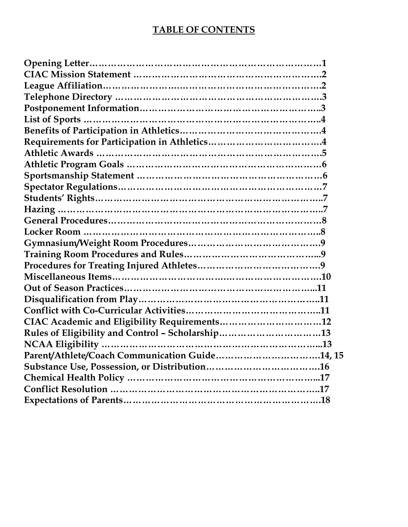## **TABLE OF CONTENTS**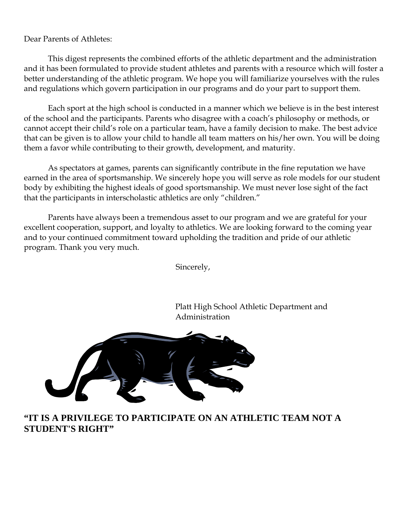Dear Parents of Athletes:

This digest represents the combined efforts of the athletic department and the administration and it has been formulated to provide student athletes and parents with a resource which will foster a better understanding of the athletic program. We hope you will familiarize yourselves with the rules and regulations which govern participation in our programs and do your part to support them.

Each sport at the high school is conducted in a manner which we believe is in the best interest of the school and the participants. Parents who disagree with a coach's philosophy or methods, or cannot accept their child's role on a particular team, have a family decision to make. The best advice that can be given is to allow your child to handle all team matters on his/her own. You will be doing them a favor while contributing to their growth, development, and maturity.

As spectators at games, parents can significantly contribute in the fine reputation we have earned in the area of sportsmanship. We sincerely hope you will serve as role models for our student body by exhibiting the highest ideals of good sportsmanship. We must never lose sight of the fact that the participants in interscholastic athletics are only "children."

Parents have always been a tremendous asset to our program and we are grateful for your excellent cooperation, support, and loyalty to athletics. We are looking forward to the coming year and to your continued commitment toward upholding the tradition and pride of our athletic program. Thank you very much.

Sincerely,

Platt High School Athletic Department and Administration



#### **"IT IS A PRIVILEGE TO PARTICIPATE ON AN ATHLETIC TEAM NOT A STUDENT'S RIGHT"**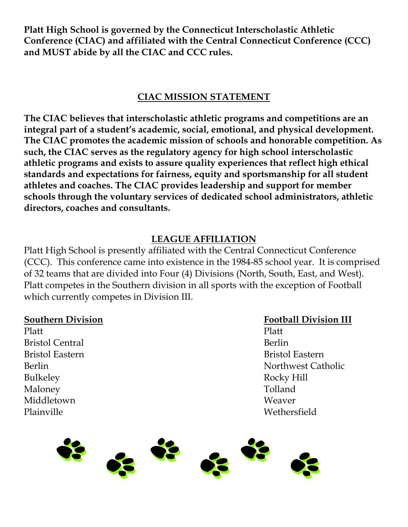**Platt High School is governed by the Connecticut Interscholastic Athletic Conference (CIAC) and affiliated with the Central Connecticut Conference (CCC) and MUST abide by all the CIAC and CCC rules.** 

## **CIAC MISSION STATEMENT**

**The CIAC believes that interscholastic athletic programs and competitions are an integral part of a student's academic, social, emotional, and physical development. The CIAC promotes the academic mission of schools and honorable competition. As such, the CIAC serves as the regulatory agency for high school interscholastic athletic programs and exists to assure quality experiences that reflect high ethical standards and expectations for fairness, equity and sportsmanship for all student athletes and coaches. The CIAC provides leadership and support for member schools through the voluntary services of dedicated school administrators, athletic directors, coaches and consultants.** 

## **LEAGUE AFFILIATION**

Platt High School is presently affiliated with the Central Connecticut Conference (CCC). This conference came into existence in the 1984-85 school year. It is comprised of 32 teams that are divided into Four (4) Divisions (North, South, East, and West). Platt competes in the Southern division in all sports with the exception of Football which currently competes in Division III.

Platt Platt Platt Platt Platt Platt Platt Platt Platt Platt Platt Platt Platt Platt Platt Platt Platt Platt Pla Bristol Central and Berlin Bulkeley Rocky Hill Maloney Tolland Middletown Weaver Plainville Wethersfield

#### **<u>Southern Division</u> Football Division III**

Bristol Eastern Bristol Eastern Bristol Eastern Bristol Eastern Bristol Eastern Bristol Eastern Bristol Eastern Berlin Northwest Catholic

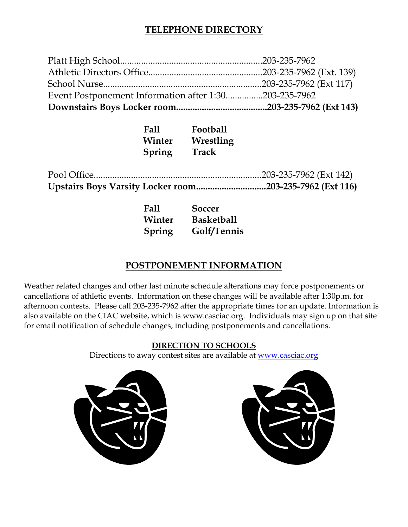#### **TELEPHONE DIRECTORY**

| Event Postponement Information after 1:30203-235-7962 |  |
|-------------------------------------------------------|--|
|                                                       |  |
|                                                       |  |
|                                                       |  |

| Fall   | <b>Football</b> |
|--------|-----------------|
| Winter | Wrestling       |
| Spring | Track           |

 Pool Office........................................................................203-235-7962 (Ext 142) **Upstairs Boys Varsity Locker room..............................203-235-7962 (Ext 116)** 

| Fall   | Soccer             |
|--------|--------------------|
| Winter | <b>Basketball</b>  |
|        | Spring Golf/Tennis |

#### **POSTPONEMENT INFORMATION**

Weather related changes and other last minute schedule alterations may force postponements or cancellations of athletic events. Information on these changes will be available after 1:30p.m. for afternoon contests. Please call 203-235-7962 after the appropriate times for an update. Information is also available on the CIAC website, which is www.casciac.org. Individuals may sign up on that site for email notification of schedule changes, including postponements and cancellations.

#### **DIRECTION TO SCHOOLS**

Directions to away contest sites are available at www.casciac.org



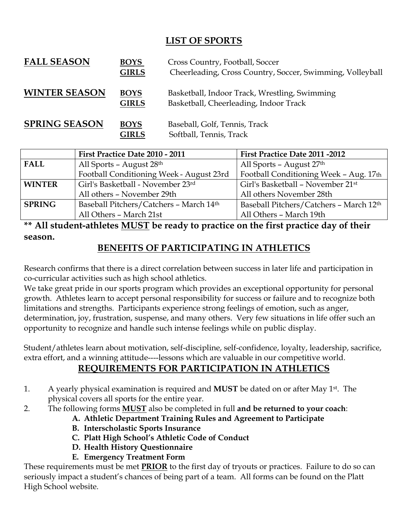#### **LIST OF SPORTS**

| <b>FALL SEASON</b>   | <b>BOYS</b><br><b>GIRLS</b> | Cross Country, Football, Soccer<br>Cheerleading, Cross Country, Soccer, Swimming, Volleyball |
|----------------------|-----------------------------|----------------------------------------------------------------------------------------------|
| <b>WINTER SEASON</b> | <b>BOYS</b><br><b>GIRLS</b> | Basketball, Indoor Track, Wrestling, Swimming<br>Basketball, Cheerleading, Indoor Track      |
| <b>SPRING SEASON</b> | <b>BOYS</b><br><b>GIRLS</b> | Baseball, Golf, Tennis, Track<br>Softball, Tennis, Track                                     |

|                                           | First Practice Date 2010 - 2011          | First Practice Date 2011 -2012                |
|-------------------------------------------|------------------------------------------|-----------------------------------------------|
| All Sports - August $28th$<br><b>FALL</b> |                                          | All Sports - August $27th$                    |
|                                           | Football Conditioning Week - August 23rd | Football Conditioning Week - Aug. 17th        |
| <b>WINTER</b>                             | Girl's Basketball - November 23rd        | Girl's Basketball - November 21 <sup>st</sup> |
|                                           | All others - November 29th               | All others November 28th                      |
| <b>SPRING</b>                             | Baseball Pitchers/Catchers - March 14th  | Baseball Pitchers/Catchers - March 12th       |
|                                           | All Others - March 21st                  | All Others - March 19th                       |

**\*\* All student-athletes MUST be ready to practice on the first practice day of their season.** 

## **BENEFITS OF PARTICIPATING IN ATHLETICS**

Research confirms that there is a direct correlation between success in later life and participation in co-curricular activities such as high school athletics.

We take great pride in our sports program which provides an exceptional opportunity for personal growth. Athletes learn to accept personal responsibility for success or failure and to recognize both limitations and strengths. Participants experience strong feelings of emotion, such as anger, determination, joy, frustration, suspense, and many others. Very few situations in life offer such an opportunity to recognize and handle such intense feelings while on public display.

Student/athletes learn about motivation, self-discipline, self-confidence, loyalty, leadership, sacrifice, extra effort, and a winning attitude----lessons which are valuable in our competitive world.

## **REQUIREMENTS FOR PARTICIPATION IN ATHLETICS**

- 1. A yearly physical examination is required and **MUST** be dated on or after May 1st. The physical covers all sports for the entire year.
- 2. The following forms **MUST** also be completed in full **and be returned to your coach**:
	- **A. Athletic Department Training Rules and Agreement to Participate**
	- **B. Interscholastic Sports Insurance**
	- **C. Platt High School's Athletic Code of Conduct**
	- **D. Health History Questionnaire**
	- **E. Emergency Treatment Form**

These requirements must be met **PRIOR** to the first day of tryouts or practices. Failure to do so can seriously impact a student's chances of being part of a team. All forms can be found on the Platt High School website.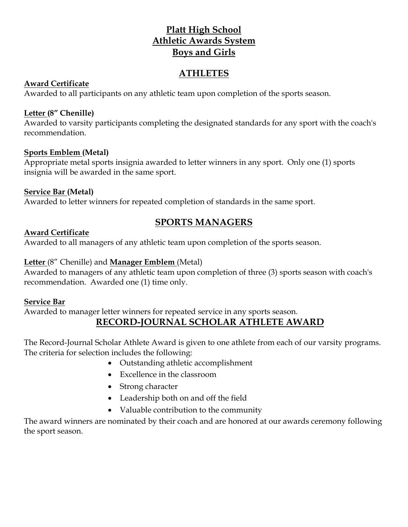#### **Platt High School Athletic Awards System Boys and Girls**

#### **ATHLETES**

#### **Award Certificate**

Awarded to all participants on any athletic team upon completion of the sports season.

#### **Letter (8" Chenille)**

Awarded to varsity participants completing the designated standards for any sport with the coach's recommendation.

#### **Sports Emblem (Metal)**

Appropriate metal sports insignia awarded to letter winners in any sport. Only one (1) sports insignia will be awarded in the same sport.

#### **Service Bar (Metal)**

Awarded to letter winners for repeated completion of standards in the same sport.

## **SPORTS MANAGERS**

#### **Award Certificate**

Awarded to all managers of any athletic team upon completion of the sports season.

#### **Letter** (8" Chenille) and **Manager Emblem** (Metal)

Awarded to managers of any athletic team upon completion of three (3) sports season with coach's recommendation. Awarded one (1) time only.

#### **Service Bar**

Awarded to manager letter winners for repeated service in any sports season.

#### **RECORD-JOURNAL SCHOLAR ATHLETE AWARD**

The Record-Journal Scholar Athlete Award is given to one athlete from each of our varsity programs. The criteria for selection includes the following:

- Outstanding athletic accomplishment
- Excellence in the classroom
- Strong character
- Leadership both on and off the field
- Valuable contribution to the community

The award winners are nominated by their coach and are honored at our awards ceremony following the sport season.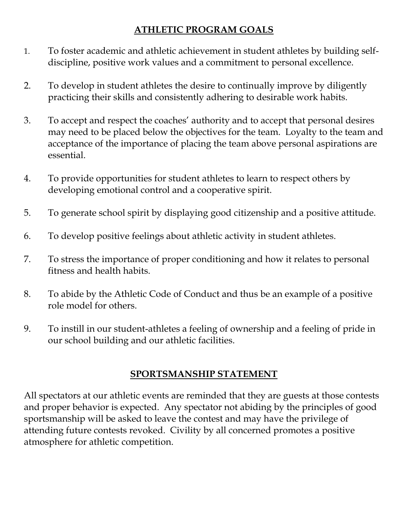## **ATHLETIC PROGRAM GOALS**

- 1. To foster academic and athletic achievement in student athletes by building selfdiscipline, positive work values and a commitment to personal excellence.
- 2. To develop in student athletes the desire to continually improve by diligently practicing their skills and consistently adhering to desirable work habits.
- 3. To accept and respect the coaches' authority and to accept that personal desires may need to be placed below the objectives for the team. Loyalty to the team and acceptance of the importance of placing the team above personal aspirations are essential.
- 4. To provide opportunities for student athletes to learn to respect others by developing emotional control and a cooperative spirit.
- 5. To generate school spirit by displaying good citizenship and a positive attitude.
- 6. To develop positive feelings about athletic activity in student athletes.
- 7. To stress the importance of proper conditioning and how it relates to personal fitness and health habits.
- 8. To abide by the Athletic Code of Conduct and thus be an example of a positive role model for others.
- 9. To instill in our student-athletes a feeling of ownership and a feeling of pride in our school building and our athletic facilities.

## **SPORTSMANSHIP STATEMENT**

All spectators at our athletic events are reminded that they are guests at those contests and proper behavior is expected. Any spectator not abiding by the principles of good sportsmanship will be asked to leave the contest and may have the privilege of attending future contests revoked. Civility by all concerned promotes a positive atmosphere for athletic competition.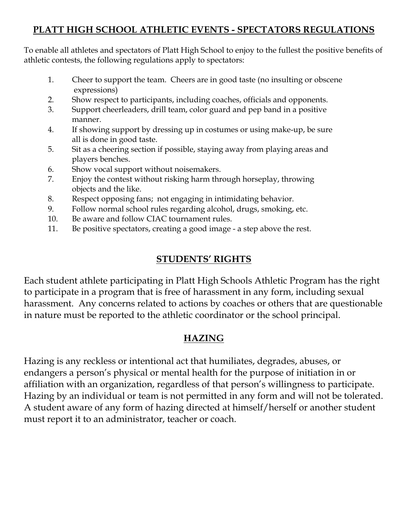## **PLATT HIGH SCHOOL ATHLETIC EVENTS - SPECTATORS REGULATIONS**

To enable all athletes and spectators of Platt High School to enjoy to the fullest the positive benefits of athletic contests, the following regulations apply to spectators:

- 1. Cheer to support the team. Cheers are in good taste (no insulting or obscene expressions)
- 2. Show respect to participants, including coaches, officials and opponents.
- 3. Support cheerleaders, drill team, color guard and pep band in a positive manner.
- 4. If showing support by dressing up in costumes or using make-up, be sure all is done in good taste.
- 5. Sit as a cheering section if possible, staying away from playing areas and players benches.
- 6. Show vocal support without noisemakers.
- 7. Enjoy the contest without risking harm through horseplay, throwing objects and the like.
- 8. Respect opposing fans; not engaging in intimidating behavior.
- 9. Follow normal school rules regarding alcohol, drugs, smoking, etc.
- 10. Be aware and follow CIAC tournament rules.
- 11. Be positive spectators, creating a good image a step above the rest.

## **STUDENTS' RIGHTS**

Each student athlete participating in Platt High Schools Athletic Program has the right to participate in a program that is free of harassment in any form, including sexual harassment. Any concerns related to actions by coaches or others that are questionable in nature must be reported to the athletic coordinator or the school principal.

## **HAZING**

Hazing is any reckless or intentional act that humiliates, degrades, abuses, or endangers a person's physical or mental health for the purpose of initiation in or affiliation with an organization, regardless of that person's willingness to participate. Hazing by an individual or team is not permitted in any form and will not be tolerated. A student aware of any form of hazing directed at himself/herself or another student must report it to an administrator, teacher or coach.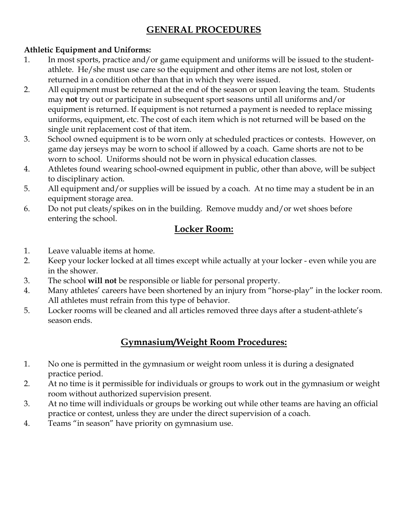## **GENERAL PROCEDURES**

#### **Athletic Equipment and Uniforms:**

- 1. In most sports, practice and/or game equipment and uniforms will be issued to the studentathlete. He/she must use care so the equipment and other items are not lost, stolen or returned in a condition other than that in which they were issued.
- 2. All equipment must be returned at the end of the season or upon leaving the team. Students may **not** try out or participate in subsequent sport seasons until all uniforms and/or equipment is returned. If equipment is not returned a payment is needed to replace missing uniforms, equipment, etc. The cost of each item which is not returned will be based on the single unit replacement cost of that item.
- 3. School owned equipment is to be worn only at scheduled practices or contests. However, on game day jerseys may be worn to school if allowed by a coach. Game shorts are not to be worn to school. Uniforms should not be worn in physical education classes.
- 4. Athletes found wearing school-owned equipment in public, other than above, will be subject to disciplinary action.
- 5. All equipment and/or supplies will be issued by a coach. At no time may a student be in an equipment storage area.
- 6. Do not put cleats/spikes on in the building. Remove muddy and/or wet shoes before entering the school.

## **Locker Room:**

- 1. Leave valuable items at home.
- 2. Keep your locker locked at all times except while actually at your locker even while you are in the shower.
- 3. The school **will not** be responsible or liable for personal property.
- 4. Many athletes' careers have been shortened by an injury from "horse-play" in the locker room. All athletes must refrain from this type of behavior.
- 5. Locker rooms will be cleaned and all articles removed three days after a student-athlete's season ends.

## **Gymnasium/Weight Room Procedures:**

- 1. No one is permitted in the gymnasium or weight room unless it is during a designated practice period.
- 2. At no time is it permissible for individuals or groups to work out in the gymnasium or weight room without authorized supervision present.
- 3. At no time will individuals or groups be working out while other teams are having an official practice or contest, unless they are under the direct supervision of a coach.
- 4. Teams "in season" have priority on gymnasium use.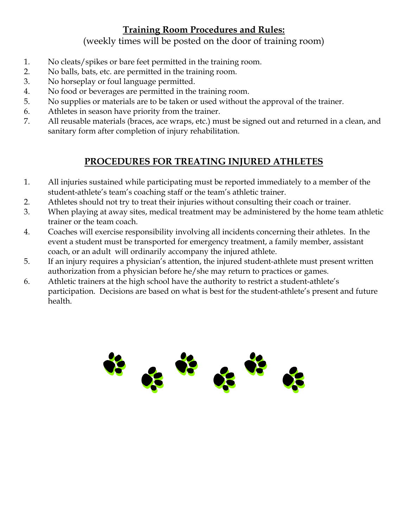## **Training Room Procedures and Rules:**

(weekly times will be posted on the door of training room)

- 1. No cleats/spikes or bare feet permitted in the training room.
- 2. No balls, bats, etc. are permitted in the training room.
- 3. No horseplay or foul language permitted.
- 4. No food or beverages are permitted in the training room.
- 5. No supplies or materials are to be taken or used without the approval of the trainer.
- 6. Athletes in season have priority from the trainer.
- 7. All reusable materials (braces, ace wraps, etc.) must be signed out and returned in a clean, and sanitary form after completion of injury rehabilitation.

## **PROCEDURES FOR TREATING INJURED ATHLETES**

- 1. All injuries sustained while participating must be reported immediately to a member of the student-athlete's team's coaching staff or the team's athletic trainer.
- 2. Athletes should not try to treat their injuries without consulting their coach or trainer.
- 3. When playing at away sites, medical treatment may be administered by the home team athletic trainer or the team coach.
- 4. Coaches will exercise responsibility involving all incidents concerning their athletes. In the event a student must be transported for emergency treatment, a family member, assistant coach, or an adult will ordinarily accompany the injured athlete.
- 5. If an injury requires a physician's attention, the injured student-athlete must present written authorization from a physician before he/she may return to practices or games.
- 6. Athletic trainers at the high school have the authority to restrict a student-athlete's participation. Decisions are based on what is best for the student-athlete's present and future health.

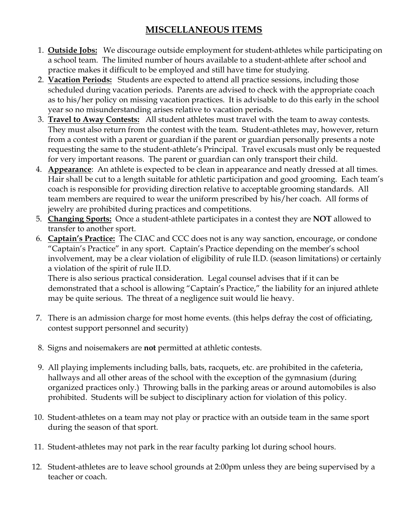## **MISCELLANEOUS ITEMS**

- 1. **Outside Jobs:** We discourage outside employment for student-athletes while participating on a school team. The limited number of hours available to a student-athlete after school and practice makes it difficult to be employed and still have time for studying.
- 2. **Vacation Periods:** Students are expected to attend all practice sessions, including those scheduled during vacation periods. Parents are advised to check with the appropriate coach as to his/her policy on missing vacation practices. It is advisable to do this early in the school year so no misunderstanding arises relative to vacation periods.
- 3. **Travel to Away Contests:** All student athletes must travel with the team to away contests. They must also return from the contest with the team. Student-athletes may, however, return from a contest with a parent or guardian if the parent or guardian personally presents a note requesting the same to the student-athlete's Principal. Travel excusals must only be requested for very important reasons. The parent or guardian can only transport their child.
- 4. **Appearance**: An athlete is expected to be clean in appearance and neatly dressed at all times. Hair shall be cut to a length suitable for athletic participation and good grooming. Each team's coach is responsible for providing direction relative to acceptable grooming standards. All team members are required to wear the uniform prescribed by his/her coach. All forms of jewelry are prohibited during practices and competitions.
- 5. **Changing Sports:** Once a student-athlete participates in a contest they are **NOT** allowed to transfer to another sport.
- 6. **Captain's Practice:** The CIAC and CCC does not is any way sanction, encourage, or condone "Captain's Practice" in any sport. Captain's Practice depending on the member's school involvement, may be a clear violation of eligibility of rule II.D. (season limitations) or certainly a violation of the spirit of rule II.D.

There is also serious practical consideration. Legal counsel advises that if it can be demonstrated that a school is allowing "Captain's Practice," the liability for an injured athlete may be quite serious. The threat of a negligence suit would lie heavy.

- 7. There is an admission charge for most home events. (this helps defray the cost of officiating, contest support personnel and security)
- 8. Signs and noisemakers are **not** permitted at athletic contests.
- 9. All playing implements including balls, bats, racquets, etc. are prohibited in the cafeteria, hallways and all other areas of the school with the exception of the gymnasium (during organized practices only.) Throwing balls in the parking areas or around automobiles is also prohibited. Students will be subject to disciplinary action for violation of this policy.
- 10. Student-athletes on a team may not play or practice with an outside team in the same sport during the season of that sport.
- 11. Student-athletes may not park in the rear faculty parking lot during school hours.
- 12. Student-athletes are to leave school grounds at 2:00pm unless they are being supervised by a teacher or coach.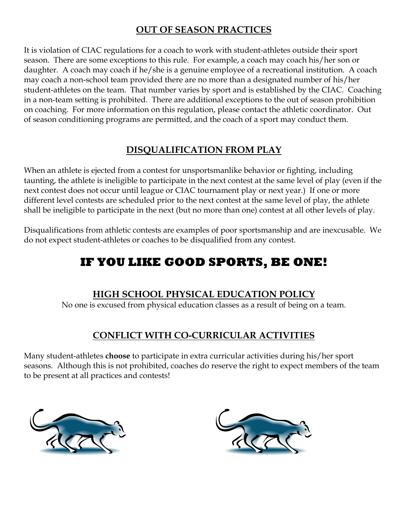## **OUT OF SEASON PRACTICES**

It is violation of CIAC regulations for a coach to work with student-athletes outside their sport season. There are some exceptions to this rule. For example, a coach may coach his/her son or daughter. A coach may coach if he/she is a genuine employee of a recreational institution. A coach may coach a non-school team provided there are no more than a designated number of his/her student-athletes on the team. That number varies by sport and is established by the CIAC. Coaching in a non-team setting is prohibited. There are additional exceptions to the out of season prohibition on coaching. For more information on this regulation, please contact the athletic coordinator. Out of season conditioning programs are permitted, and the coach of a sport may conduct them.

## **DISQUALIFICATION FROM PLAY**

When an athlete is ejected from a contest for unsportsmanlike behavior or fighting, including taunting, the athlete is ineligible to participate in the next contest at the same level of play (even if the next contest does not occur until league or CIAC tournament play or next year.) If one or more different level contests are scheduled prior to the next contest at the same level of play, the athlete shall be ineligible to participate in the next (but no more than one) contest at all other levels of play.

Disqualifications from athletic contests are examples of poor sportsmanship and are inexcusable. We do not expect student-athletes or coaches to be disqualified from any contest.

# **IF YOU LIKE GOOD SPORTS, BE ONE!**

#### **HIGH SCHOOL PHYSICAL EDUCATION POLICY**

No one is excused from physical education classes as a result of being on a team.

## **CONFLICT WITH CO-CURRICULAR ACTIVITIES**

Many student-athletes **choose** to participate in extra curricular activities during his/her sport seasons. Although this is not prohibited, coaches do reserve the right to expect members of the team to be present at all practices and contests!



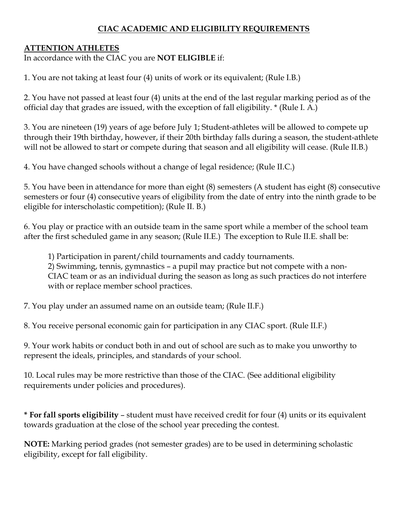#### **CIAC ACADEMIC AND ELIGIBILITY REQUIREMENTS**

#### **ATTENTION ATHLETES**

In accordance with the CIAC you are **NOT ELIGIBLE** if:

1. You are not taking at least four (4) units of work or its equivalent; (Rule I.B.)

2. You have not passed at least four (4) units at the end of the last regular marking period as of the official day that grades are issued, with the exception of fall eligibility. \* (Rule I. A.)

3. You are nineteen (19) years of age before July 1; Student-athletes will be allowed to compete up through their 19th birthday, however, if their 20th birthday falls during a season, the student-athlete will not be allowed to start or compete during that season and all eligibility will cease. (Rule II.B.)

4. You have changed schools without a change of legal residence; (Rule II.C.)

5. You have been in attendance for more than eight (8) semesters (A student has eight (8) consecutive semesters or four (4) consecutive years of eligibility from the date of entry into the ninth grade to be eligible for interscholastic competition); (Rule II. B.)

6. You play or practice with an outside team in the same sport while a member of the school team after the first scheduled game in any season; (Rule II.E.) The exception to Rule II.E. shall be:

1) Participation in parent/child tournaments and caddy tournaments. 2) Swimming, tennis, gymnastics – a pupil may practice but not compete with a non-CIAC team or as an individual during the season as long as such practices do not interfere with or replace member school practices.

7. You play under an assumed name on an outside team; (Rule II.F.)

8. You receive personal economic gain for participation in any CIAC sport. (Rule II.F.)

9. Your work habits or conduct both in and out of school are such as to make you unworthy to represent the ideals, principles, and standards of your school.

10. Local rules may be more restrictive than those of the CIAC. (See additional eligibility requirements under policies and procedures).

**\* For fall sports eligibility** – student must have received credit for four (4) units or its equivalent towards graduation at the close of the school year preceding the contest.

**NOTE:** Marking period grades (not semester grades) are to be used in determining scholastic eligibility, except for fall eligibility.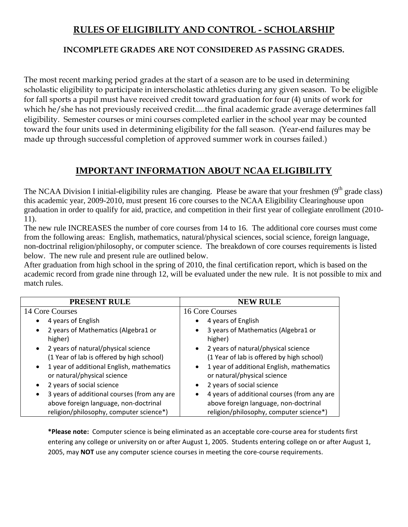#### **RULES OF ELIGIBILITY AND CONTROL - SCHOLARSHIP**

#### **INCOMPLETE GRADES ARE NOT CONSIDERED AS PASSING GRADES.**

The most recent marking period grades at the start of a season are to be used in determining scholastic eligibility to participate in interscholastic athletics during any given season. To be eligible for fall sports a pupil must have received credit toward graduation for four (4) units of work for which he/she has not previously received credit.....the final academic grade average determines fall eligibility. Semester courses or mini courses completed earlier in the school year may be counted toward the four units used in determining eligibility for the fall season. (Year-end failures may be made up through successful completion of approved summer work in courses failed.)

#### **IMPORTANT INFORMATION ABOUT NCAA ELIGIBILITY**

The NCAA Division I initial-eligibility rules are changing. Please be aware that your freshmen  $(9<sup>th</sup>$  grade class) this academic year, 2009-2010, must present 16 core courses to the NCAA Eligibility Clearinghouse upon graduation in order to qualify for aid, practice, and competition in their first year of collegiate enrollment (2010- 11).

The new rule INCREASES the number of core courses from 14 to 16. The additional core courses must come from the following areas: English, mathematics, natural/physical sciences, social science, foreign language, non-doctrinal religion/philosophy, or computer science. The breakdown of core courses requirements is listed below. The new rule and present rule are outlined below.

After graduation from high school in the spring of 2010, the final certification report, which is based on the academic record from grade nine through 12, will be evaluated under the new rule. It is not possible to mix and match rules.

| PRESENT RULE                                             | <b>NEW RULE</b>                             |  |
|----------------------------------------------------------|---------------------------------------------|--|
| 14 Core Courses                                          | 16 Core Courses                             |  |
| 4 years of English                                       | 4 years of English                          |  |
| 2 years of Mathematics (Algebra1 or<br>$\bullet$         | 3 years of Mathematics (Algebra1 or         |  |
| higher)                                                  | higher)                                     |  |
| 2 years of natural/physical science<br>$\bullet$         | • 2 years of natural/physical science       |  |
| (1 Year of lab is offered by high school)                | (1 Year of lab is offered by high school)   |  |
| 1 year of additional English, mathematics<br>$\bullet$   | 1 year of additional English, mathematics   |  |
| or natural/physical science                              | or natural/physical science                 |  |
| 2 years of social science<br>$\bullet$                   | 2 years of social science<br>$\bullet$      |  |
| 3 years of additional courses (from any are<br>$\bullet$ | 4 years of additional courses (from any are |  |
| above foreign language, non-doctrinal                    | above foreign language, non-doctrinal       |  |
| religion/philosophy, computer science*)                  | religion/philosophy, computer science*)     |  |

**\*Please note:** Computer science is being eliminated as an acceptable core‐course area for students first entering any college or university on or after August 1, 2005. Students entering college on or after August 1, 2005, may **NOT** use any computer science courses in meeting the core‐course requirements.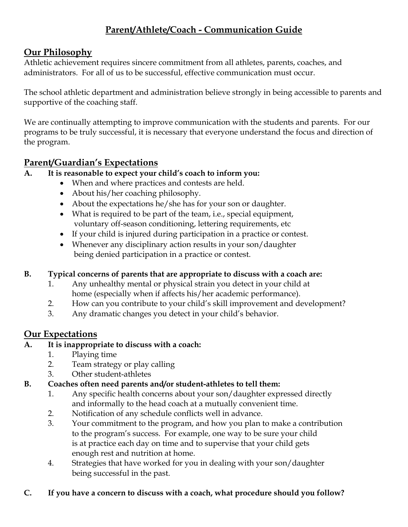## **Parent/Athlete/Coach - Communication Guide**

## **Our Philosophy**

Athletic achievement requires sincere commitment from all athletes, parents, coaches, and administrators. For all of us to be successful, effective communication must occur.

The school athletic department and administration believe strongly in being accessible to parents and supportive of the coaching staff.

We are continually attempting to improve communication with the students and parents. For our programs to be truly successful, it is necessary that everyone understand the focus and direction of the program.

#### **Parent/Guardian's Expectations**

#### **A. It is reasonable to expect your child's coach to inform you:**

- When and where practices and contests are held.
- About his/her coaching philosophy.
- About the expectations he/she has for your son or daughter.
- What is required to be part of the team, i.e., special equipment, voluntary off-season conditioning, lettering requirements, etc
- If your child is injured during participation in a practice or contest.
- Whenever any disciplinary action results in your son/daughter being denied participation in a practice or contest.

#### **B. Typical concerns of parents that are appropriate to discuss with a coach are:**

- 1. Any unhealthy mental or physical strain you detect in your child at home (especially when if affects his/her academic performance).
- 2. How can you contribute to your child's skill improvement and development?
- 3. Any dramatic changes you detect in your child's behavior.

#### **Our Expectations**

#### **A. It is inappropriate to discuss with a coach:**

- 1. Playing time
- 2. Team strategy or play calling
- 3. Other student-athletes

#### **B. Coaches often need parents and/or student-athletes to tell them:**

- 1. Any specific health concerns about your son/daughter expressed directly and informally to the head coach at a mutually convenient time.
- 2. Notification of any schedule conflicts well in advance.
- 3. Your commitment to the program, and how you plan to make a contribution to the program's success. For example, one way to be sure your child is at practice each day on time and to supervise that your child gets enough rest and nutrition at home.
- 4. Strategies that have worked for you in dealing with your son/daughter being successful in the past.

#### **C. If you have a concern to discuss with a coach, what procedure should you follow?**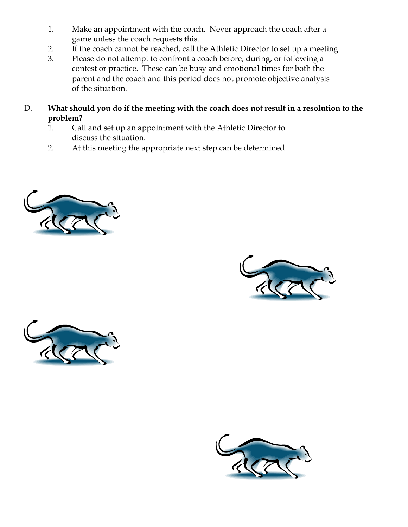- 1. Make an appointment with the coach. Never approach the coach after a game unless the coach requests this.
- 2. If the coach cannot be reached, call the Athletic Director to set up a meeting.
- 3. Please do not attempt to confront a coach before, during, or following a contest or practice. These can be busy and emotional times for both the parent and the coach and this period does not promote objective analysis of the situation.
- D. **What should you do if the meeting with the coach does not result in a resolution to the problem?** 
	- 1. Call and set up an appointment with the Athletic Director to discuss the situation.
	- 2. At this meeting the appropriate next step can be determined







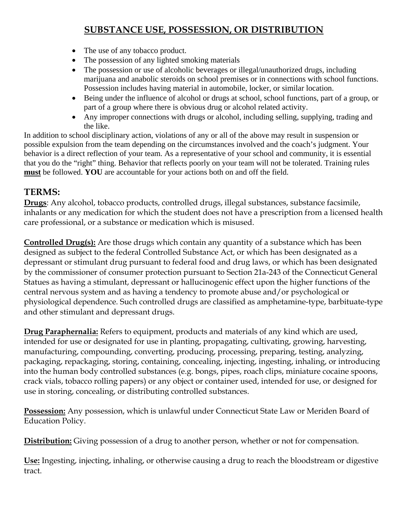## **SUBSTANCE USE, POSSESSION, OR DISTRIBUTION**

- The use of any tobacco product.
- The possession of any lighted smoking materials
- The possession or use of alcoholic beverages or illegal/unauthorized drugs, including marijuana and anabolic steroids on school premises or in connections with school functions. Possession includes having material in automobile, locker, or similar location.
- Being under the influence of alcohol or drugs at school, school functions, part of a group, or part of a group where there is obvious drug or alcohol related activity.
- Any improper connections with drugs or alcohol, including selling, supplying, trading and the like.

In addition to school disciplinary action, violations of any or all of the above may result in suspension or possible expulsion from the team depending on the circumstances involved and the coach's judgment. Your behavior is a direct reflection of your team. As a representative of your school and community, it is essential that you do the "right" thing. Behavior that reflects poorly on your team will not be tolerated. Training rules **must** be followed. **YOU** are accountable for your actions both on and off the field.

#### **TERMS:**

**Drugs**: Any alcohol, tobacco products, controlled drugs, illegal substances, substance facsimile, inhalants or any medication for which the student does not have a prescription from a licensed health care professional, or a substance or medication which is misused.

**Controlled Drug(s):** Are those drugs which contain any quantity of a substance which has been designed as subject to the federal Controlled Substance Act, or which has been designated as a depressant or stimulant drug pursuant to federal food and drug laws, or which has been designated by the commissioner of consumer protection pursuant to Section 21a-243 of the Connecticut General Statues as having a stimulant, depressant or hallucinogenic effect upon the higher functions of the central nervous system and as having a tendency to promote abuse and/or psychological or physiological dependence. Such controlled drugs are classified as amphetamine-type, barbituate-type and other stimulant and depressant drugs.

**Drug Paraphernalia:** Refers to equipment, products and materials of any kind which are used, intended for use or designated for use in planting, propagating, cultivating, growing, harvesting, manufacturing, compounding, converting, producing, processing, preparing, testing, analyzing, packaging, repackaging, storing, containing, concealing, injecting, ingesting, inhaling, or introducing into the human body controlled substances (e.g. bongs, pipes, roach clips, miniature cocaine spoons, crack vials, tobacco rolling papers) or any object or container used, intended for use, or designed for use in storing, concealing, or distributing controlled substances.

**Possession:** Any possession, which is unlawful under Connecticut State Law or Meriden Board of Education Policy.

**Distribution:** Giving possession of a drug to another person, whether or not for compensation.

**Use:** Ingesting, injecting, inhaling, or otherwise causing a drug to reach the bloodstream or digestive tract.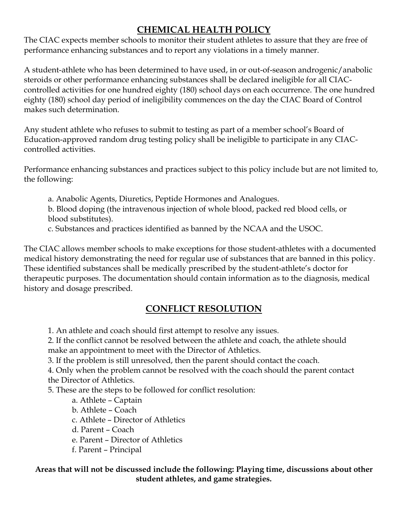## **CHEMICAL HEALTH POLICY**

The CIAC expects member schools to monitor their student athletes to assure that they are free of performance enhancing substances and to report any violations in a timely manner.

A student-athlete who has been determined to have used, in or out-of-season androgenic/anabolic steroids or other performance enhancing substances shall be declared ineligible for all CIACcontrolled activities for one hundred eighty (180) school days on each occurrence. The one hundred eighty (180) school day period of ineligibility commences on the day the CIAC Board of Control makes such determination.

Any student athlete who refuses to submit to testing as part of a member school's Board of Education-approved random drug testing policy shall be ineligible to participate in any CIACcontrolled activities.

Performance enhancing substances and practices subject to this policy include but are not limited to, the following:

a. Anabolic Agents, Diuretics, Peptide Hormones and Analogues.

b. Blood doping (the intravenous injection of whole blood, packed red blood cells, or blood substitutes).

c. Substances and practices identified as banned by the NCAA and the USOC.

The CIAC allows member schools to make exceptions for those student-athletes with a documented medical history demonstrating the need for regular use of substances that are banned in this policy. These identified substances shall be medically prescribed by the student-athlete's doctor for therapeutic purposes. The documentation should contain information as to the diagnosis, medical history and dosage prescribed.

## **CONFLICT RESOLUTION**

1. An athlete and coach should first attempt to resolve any issues.

2. If the conflict cannot be resolved between the athlete and coach, the athlete should

make an appointment to meet with the Director of Athletics.

3. If the problem is still unresolved, then the parent should contact the coach.

4. Only when the problem cannot be resolved with the coach should the parent contact the Director of Athletics.

5. These are the steps to be followed for conflict resolution:

a. Athlete – Captain

- b. Athlete Coach
- c. Athlete Director of Athletics
- d. Parent Coach
- e. Parent Director of Athletics
- f. Parent Principal

#### **Areas that will not be discussed include the following: Playing time, discussions about other student athletes, and game strategies.**